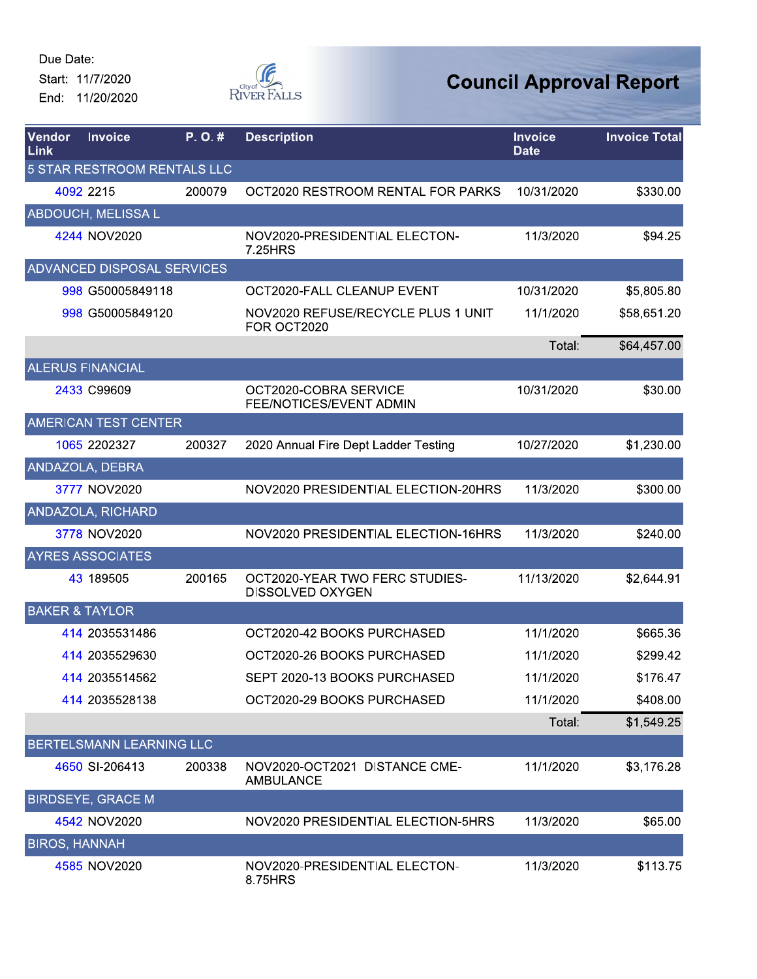

| Vendor<br>Link            | <b>Invoice</b>                    | P.O.#  | <b>Description</b>                                        | <b>Invoice</b><br><b>Date</b> | <b>Invoice Total</b> |
|---------------------------|-----------------------------------|--------|-----------------------------------------------------------|-------------------------------|----------------------|
|                           | 5 STAR RESTROOM RENTALS LLC       |        |                                                           |                               |                      |
|                           | 4092 2215                         | 200079 | OCT2020 RESTROOM RENTAL FOR PARKS                         | 10/31/2020                    | \$330.00             |
|                           | <b>ABDOUCH, MELISSA L</b>         |        |                                                           |                               |                      |
|                           | 4244 NOV2020                      |        | NOV2020-PRESIDENTIAL ELECTON-<br>7.25HRS                  | 11/3/2020                     | \$94.25              |
|                           | <b>ADVANCED DISPOSAL SERVICES</b> |        |                                                           |                               |                      |
|                           | 998 G50005849118                  |        | OCT2020-FALL CLEANUP EVENT                                | 10/31/2020                    | \$5,805.80           |
|                           | 998 G50005849120                  |        | NOV2020 REFUSE/RECYCLE PLUS 1 UNIT<br>FOR OCT2020         | 11/1/2020                     | \$58,651.20          |
|                           |                                   |        |                                                           | Total:                        | \$64,457.00          |
|                           | <b>ALERUS FINANCIAL</b>           |        |                                                           |                               |                      |
|                           | 2433 C99609                       |        | OCT2020-COBRA SERVICE<br>FEE/NOTICES/EVENT ADMIN          | 10/31/2020                    | \$30.00              |
|                           | <b>AMERICAN TEST CENTER</b>       |        |                                                           |                               |                      |
|                           | 1065 2202327                      | 200327 | 2020 Annual Fire Dept Ladder Testing                      | 10/27/2020                    | \$1,230.00           |
|                           | ANDAZOLA, DEBRA                   |        |                                                           |                               |                      |
|                           | 3777 NOV2020                      |        | NOV2020 PRESIDENTIAL ELECTION-20HRS                       | 11/3/2020                     | \$300.00             |
|                           | <b>ANDAZOLA, RICHARD</b>          |        |                                                           |                               |                      |
|                           | 3778 NOV2020                      |        | NOV2020 PRESIDENTIAL ELECTION-16HRS                       | 11/3/2020                     | \$240.00             |
|                           | <b>AYRES ASSOCIATES</b>           |        |                                                           |                               |                      |
|                           | 43 189505                         | 200165 | OCT2020-YEAR TWO FERC STUDIES-<br><b>DISSOLVED OXYGEN</b> | 11/13/2020                    | \$2,644.91           |
| <b>BAKER &amp; TAYLOR</b> |                                   |        |                                                           |                               |                      |
|                           | 414 2035531486                    |        | OCT2020-42 BOOKS PURCHASED                                | 11/1/2020                     | \$665.36             |
|                           | 414 2035529630                    |        | OCT2020-26 BOOKS PURCHASED                                | 11/1/2020                     | \$299.42             |
|                           | 414 2035514562                    |        | SEPT 2020-13 BOOKS PURCHASED                              | 11/1/2020                     | \$176.47             |
|                           | 414 2035528138                    |        | OCT2020-29 BOOKS PURCHASED                                | 11/1/2020                     | \$408.00             |
|                           |                                   |        |                                                           | Total:                        | \$1,549.25           |
|                           | BERTELSMANN LEARNING LLC          |        |                                                           |                               |                      |
|                           | 4650 SI-206413                    | 200338 | NOV2020-OCT2021 DISTANCE CME-<br><b>AMBULANCE</b>         | 11/1/2020                     | \$3,176.28           |
|                           | <b>BIRDSEYE, GRACE M</b>          |        |                                                           |                               |                      |
|                           | 4542 NOV2020                      |        | NOV2020 PRESIDENTIAL ELECTION-5HRS                        | 11/3/2020                     | \$65.00              |
| <b>BIROS, HANNAH</b>      |                                   |        |                                                           |                               |                      |
|                           | 4585 NOV2020                      |        | NOV2020-PRESIDENTIAL ELECTON-<br>8.75HRS                  | 11/3/2020                     | \$113.75             |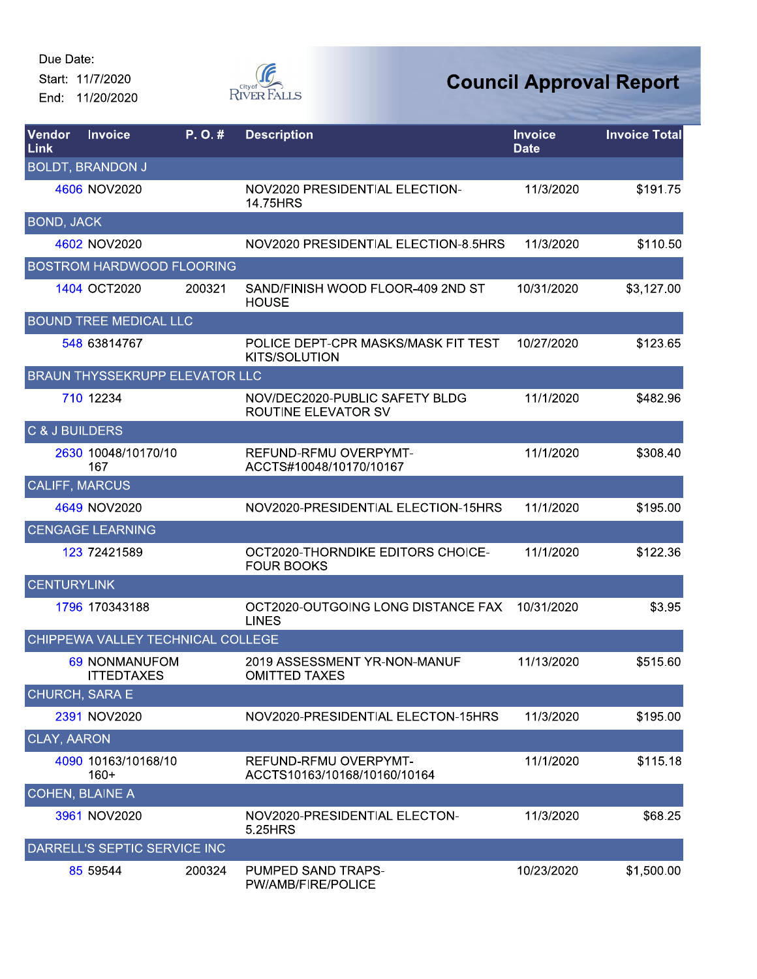End: 11/20/2020



| Vendor<br><b>Link</b>     | <b>Invoice</b>                        | P.O.#  | <b>Description</b>                                           | <b>Invoice</b><br><b>Date</b> | <b>Invoice Total</b> |
|---------------------------|---------------------------------------|--------|--------------------------------------------------------------|-------------------------------|----------------------|
|                           | <b>BOLDT, BRANDON J</b>               |        |                                                              |                               |                      |
|                           | 4606 NOV2020                          |        | NOV2020 PRESIDENTIAL ELECTION-<br>14.75HRS                   | 11/3/2020                     | \$191.75             |
| BOND, JACK                |                                       |        |                                                              |                               |                      |
|                           | 4602 NOV2020                          |        | NOV2020 PRESIDENTIAL ELECTION-8.5HRS                         | 11/3/2020                     | \$110.50             |
|                           | <b>BOSTROM HARDWOOD FLOORING</b>      |        |                                                              |                               |                      |
|                           | 1404 OCT2020                          | 200321 | SAND/FINISH WOOD FLOOR-409 2ND ST<br><b>HOUSE</b>            | 10/31/2020                    | \$3,127.00           |
|                           | <b>BOUND TREE MEDICAL LLC</b>         |        |                                                              |                               |                      |
|                           | 548 63814767                          |        | POLICE DEPT-CPR MASKS/MASK FIT TEST<br><b>KITS/SOLUTION</b>  | 10/27/2020                    | \$123.65             |
|                           | <b>BRAUN THYSSEKRUPP ELEVATOR LLC</b> |        |                                                              |                               |                      |
|                           | 710 12234                             |        | NOV/DEC2020-PUBLIC SAFETY BLDG<br><b>ROUTINE ELEVATOR SV</b> | 11/1/2020                     | \$482.96             |
| <b>C &amp; J BUILDERS</b> |                                       |        |                                                              |                               |                      |
|                           | 2630 10048/10170/10<br>167            |        | REFUND-RFMU OVERPYMT-<br>ACCTS#10048/10170/10167             | 11/1/2020                     | \$308.40             |
|                           | <b>CALIFF, MARCUS</b>                 |        |                                                              |                               |                      |
|                           | 4649 NOV2020                          |        | NOV2020-PRESIDENTIAL ELECTION-15HRS                          | 11/1/2020                     | \$195.00             |
|                           | <b>CENGAGE LEARNING</b>               |        |                                                              |                               |                      |
|                           | 123 72421589                          |        | OCT2020-THORNDIKE EDITORS CHOICE-<br><b>FOUR BOOKS</b>       | 11/1/2020                     | \$122.36             |
| <b>CENTURYLINK</b>        |                                       |        |                                                              |                               |                      |
|                           | 1796 170343188                        |        | OCT2020-OUTGOING LONG DISTANCE FAX<br><b>LINES</b>           | 10/31/2020                    | \$3.95               |
|                           | CHIPPEWA VALLEY TECHNICAL COLLEGE     |        |                                                              |                               |                      |
|                           | 69 NONMANUFOM<br><b>ITTEDTAXES</b>    |        | 2019 ASSESSMENT YR-NON-MANUF<br><b>OMITTED TAXES</b>         | 11/13/2020                    | \$515.60             |
|                           | <b>CHURCH, SARA E</b>                 |        |                                                              |                               |                      |
|                           | 2391 NOV2020                          |        | NOV2020-PRESIDENTIAL ELECTON-15HRS                           | 11/3/2020                     | \$195.00             |
| <b>CLAY, AARON</b>        |                                       |        |                                                              |                               |                      |
|                           | 4090 10163/10168/10<br>$160+$         |        | REFUND-RFMU OVERPYMT-<br>ACCTS10163/10168/10160/10164        | 11/1/2020                     | \$115.18             |
|                           | <b>COHEN, BLAINE A</b>                |        |                                                              |                               |                      |
|                           | 3961 NOV2020                          |        | NOV2020-PRESIDENTIAL ELECTON-<br>5.25HRS                     | 11/3/2020                     | \$68.25              |
|                           | DARRELL'S SEPTIC SERVICE INC          |        |                                                              |                               |                      |
|                           | 85 59544                              | 200324 | PUMPED SAND TRAPS-<br>PW/AMB/FIRE/POLICE                     | 10/23/2020                    | \$1,500.00           |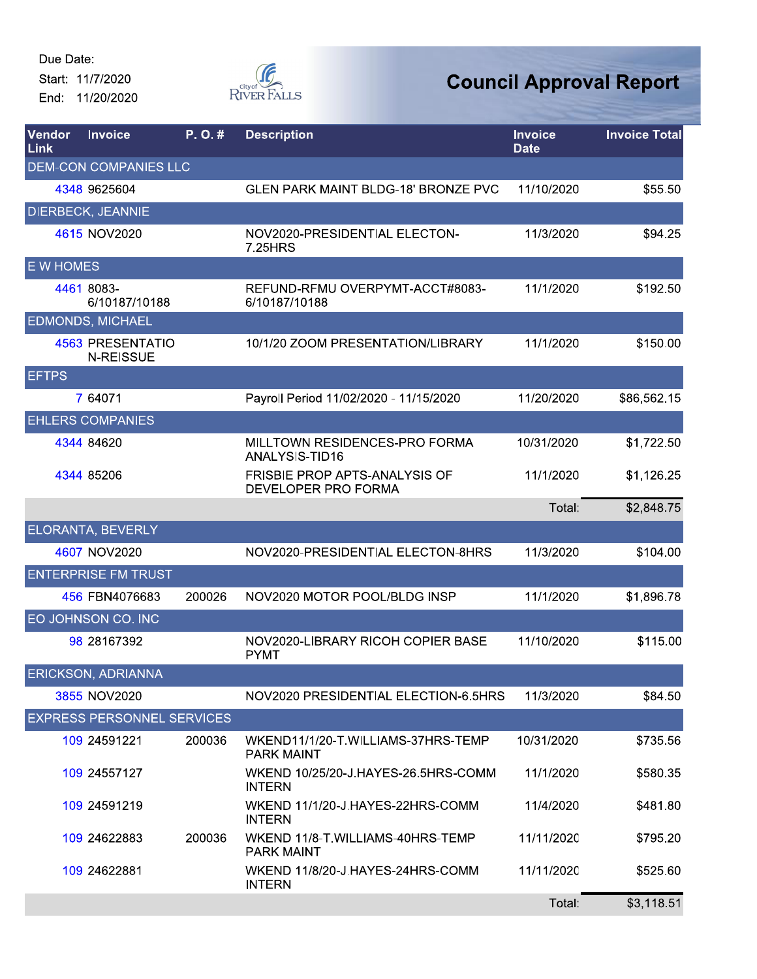End: 11/20/2020



| Vendor<br>Link   | <b>Invoice</b>                       | P.O.#  | <b>Description</b>                                          | <b>Invoice</b><br><b>Date</b> | <b>Invoice Total</b> |
|------------------|--------------------------------------|--------|-------------------------------------------------------------|-------------------------------|----------------------|
|                  | <b>DEM-CON COMPANIES LLC</b>         |        |                                                             |                               |                      |
|                  | 4348 9625604                         |        | <b>GLEN PARK MAINT BLDG-18' BRONZE PVC</b>                  | 11/10/2020                    | \$55.50              |
|                  | <b>DIERBECK, JEANNIE</b>             |        |                                                             |                               |                      |
|                  | 4615 NOV2020                         |        | NOV2020-PRESIDENTIAL ELECTON-<br>7.25HRS                    | 11/3/2020                     | \$94.25              |
| <b>E W HOMES</b> |                                      |        |                                                             |                               |                      |
|                  | 4461 8083-<br>6/10187/10188          |        | REFUND-RFMU OVERPYMT-ACCT#8083-<br>6/10187/10188            | 11/1/2020                     | \$192.50             |
|                  | <b>EDMONDS, MICHAEL</b>              |        |                                                             |                               |                      |
|                  | 4563 PRESENTATIO<br><b>N-REISSUE</b> |        | 10/1/20 ZOOM PRESENTATION/LIBRARY                           | 11/1/2020                     | \$150.00             |
| <b>EFTPS</b>     |                                      |        |                                                             |                               |                      |
|                  | 7 64071                              |        | Payroll Period 11/02/2020 - 11/15/2020                      | 11/20/2020                    | \$86,562.15          |
|                  | <b>EHLERS COMPANIES</b>              |        |                                                             |                               |                      |
|                  | 4344 84620                           |        | MILLTOWN RESIDENCES-PRO FORMA<br>ANALYSIS-TID16             | 10/31/2020                    | \$1,722.50           |
|                  | 4344 85206                           |        | <b>FRISBIE PROP APTS-ANALYSIS OF</b><br>DEVELOPER PRO FORMA | 11/1/2020                     | \$1,126.25           |
|                  |                                      |        |                                                             | Total:                        | \$2,848.75           |
|                  | <b>ELORANTA, BEVERLY</b>             |        |                                                             |                               |                      |
|                  | 4607 NOV2020                         |        | NOV2020-PRESIDENTIAL ELECTON-8HRS                           | 11/3/2020                     | \$104.00             |
|                  | <b>ENTERPRISE FM TRUST</b>           |        |                                                             |                               |                      |
|                  | 456 FBN4076683                       | 200026 | NOV2020 MOTOR POOL/BLDG INSP                                | 11/1/2020                     | \$1,896.78           |
|                  | EO JOHNSON CO. INC                   |        |                                                             |                               |                      |
|                  | 98 28167392                          |        | NOV2020-LIBRARY RICOH COPIER BASE<br><b>PYMT</b>            | 11/10/2020                    | \$115.00             |
|                  | <b>ERICKSON, ADRIANNA</b>            |        |                                                             |                               |                      |
|                  | 3855 NOV2020                         |        | NOV2020 PRESIDENTIAL ELECTION-6.5HRS                        | 11/3/2020                     | \$84.50              |
|                  | <b>EXPRESS PERSONNEL SERVICES</b>    |        |                                                             |                               |                      |
|                  | 109 24591221                         | 200036 | WKEND11/1/20-T.WILLIAMS-37HRS-TEMP<br><b>PARK MAINT</b>     | 10/31/2020                    | \$735.56             |
|                  | 109 24557127                         |        | WKEND 10/25/20-J.HAYES-26.5HRS-COMM<br><b>INTERN</b>        | 11/1/2020                     | \$580.35             |
|                  | 109 24591219                         |        | WKEND 11/1/20-J.HAYES-22HRS-COMM<br><b>INTERN</b>           | 11/4/2020                     | \$481.80             |
|                  | 109 24622883                         | 200036 | WKEND 11/8-T.WILLIAMS-40HRS-TEMP<br><b>PARK MAINT</b>       | 11/11/2020                    | \$795.20             |
|                  | 109 24622881                         |        | WKEND 11/8/20-J.HAYES-24HRS-COMM<br><b>INTERN</b>           | 11/11/2020                    | \$525.60             |
|                  |                                      |        |                                                             | Total:                        | \$3,118.51           |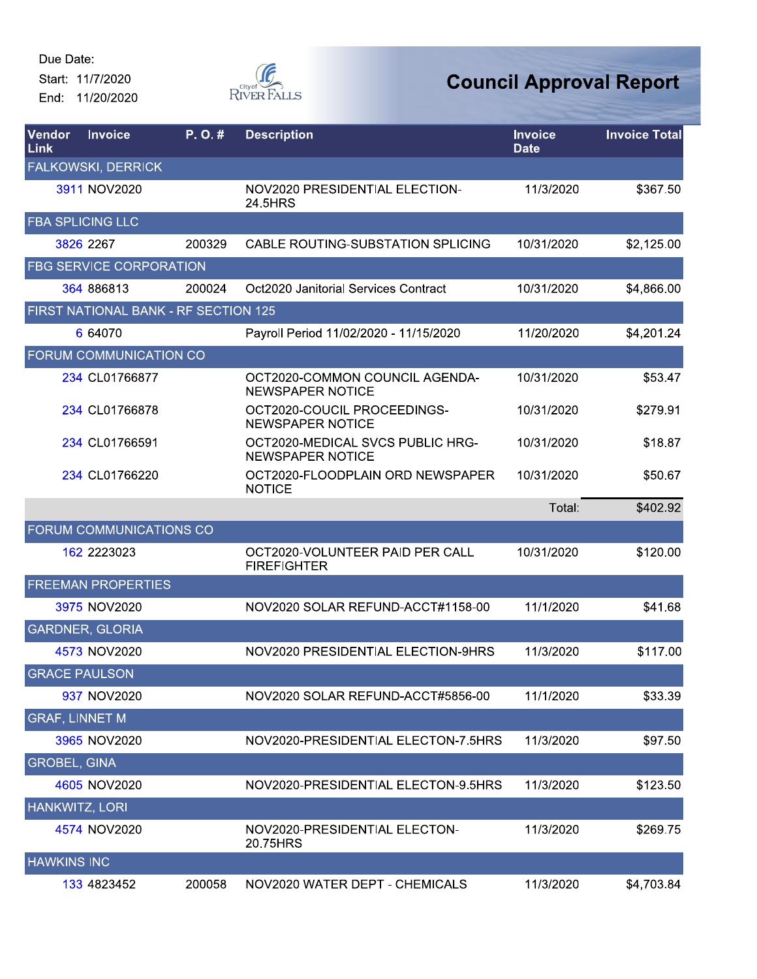

| Vendor<br>Link        | <b>Invoice</b>                       | P. O. # | <b>Description</b>                                          | <b>Invoice</b><br><b>Date</b> | <b>Invoice Total</b> |
|-----------------------|--------------------------------------|---------|-------------------------------------------------------------|-------------------------------|----------------------|
|                       | <b>FALKOWSKI, DERRICK</b>            |         |                                                             |                               |                      |
|                       | 3911 NOV2020                         |         | NOV2020 PRESIDENTIAL ELECTION-<br>24.5HRS                   | 11/3/2020                     | \$367.50             |
|                       | <b>FBA SPLICING LLC</b>              |         |                                                             |                               |                      |
|                       | 3826 2267                            | 200329  | CABLE ROUTING-SUBSTATION SPLICING                           | 10/31/2020                    | \$2,125.00           |
|                       | <b>FBG SERVICE CORPORATION</b>       |         |                                                             |                               |                      |
|                       | 364 886813                           | 200024  | Oct2020 Janitorial Services Contract                        | 10/31/2020                    | \$4,866.00           |
|                       | FIRST NATIONAL BANK - RF SECTION 125 |         |                                                             |                               |                      |
|                       | 6 64070                              |         | Payroll Period 11/02/2020 - 11/15/2020                      | 11/20/2020                    | \$4,201.24           |
|                       | FORUM COMMUNICATION CO               |         |                                                             |                               |                      |
|                       | 234 CL01766877                       |         | OCT2020-COMMON COUNCIL AGENDA-<br><b>NEWSPAPER NOTICE</b>   | 10/31/2020                    | \$53.47              |
|                       | 234 CL01766878                       |         | OCT2020-COUCIL PROCEEDINGS-<br><b>NEWSPAPER NOTICE</b>      | 10/31/2020                    | \$279.91             |
|                       | 234 CL01766591                       |         | OCT2020-MEDICAL SVCS PUBLIC HRG-<br><b>NEWSPAPER NOTICE</b> | 10/31/2020                    | \$18.87              |
|                       | 234 CL01766220                       |         | OCT2020-FLOODPLAIN ORD NEWSPAPER<br><b>NOTICE</b>           | 10/31/2020                    | \$50.67              |
|                       |                                      |         |                                                             | Total:                        | \$402.92             |
|                       | FORUM COMMUNICATIONS CO              |         |                                                             |                               |                      |
|                       | 162 2223023                          |         | OCT2020-VOLUNTEER PAID PER CALL<br><b>FIREFIGHTER</b>       | 10/31/2020                    | \$120.00             |
|                       | <b>FREEMAN PROPERTIES</b>            |         |                                                             |                               |                      |
|                       | 3975 NOV2020                         |         | NOV2020 SOLAR REFUND-ACCT#1158-00                           | 11/1/2020                     | \$41.68              |
|                       | <b>GARDNER, GLORIA</b>               |         |                                                             |                               |                      |
|                       | 4573 NOV2020                         |         | NOV2020 PRESIDENTIAL ELECTION-9HRS                          | 11/3/2020                     | \$117.00             |
|                       | <b>GRACE PAULSON</b>                 |         |                                                             |                               |                      |
|                       | 937 NOV2020                          |         | NOV2020 SOLAR REFUND-ACCT#5856-00                           | 11/1/2020                     | \$33.39              |
| <b>GRAF, LINNET M</b> |                                      |         |                                                             |                               |                      |
|                       | 3965 NOV2020                         |         | NOV2020-PRESIDENTIAL ELECTON-7.5HRS                         | 11/3/2020                     | \$97.50              |
| <b>GROBEL, GINA</b>   |                                      |         |                                                             |                               |                      |
|                       | 4605 NOV2020                         |         | NOV2020-PRESIDENTIAL ELECTON-9.5HRS                         | 11/3/2020                     | \$123.50             |
| <b>HANKWITZ, LORI</b> |                                      |         |                                                             |                               |                      |
|                       | 4574 NOV2020                         |         | NOV2020-PRESIDENTIAL ELECTON-<br>20.75HRS                   | 11/3/2020                     | \$269.75             |
| <b>HAWKINS INC</b>    |                                      |         |                                                             |                               |                      |
|                       | 133 4823452                          | 200058  | NOV2020 WATER DEPT - CHEMICALS                              | 11/3/2020                     | \$4,703.84           |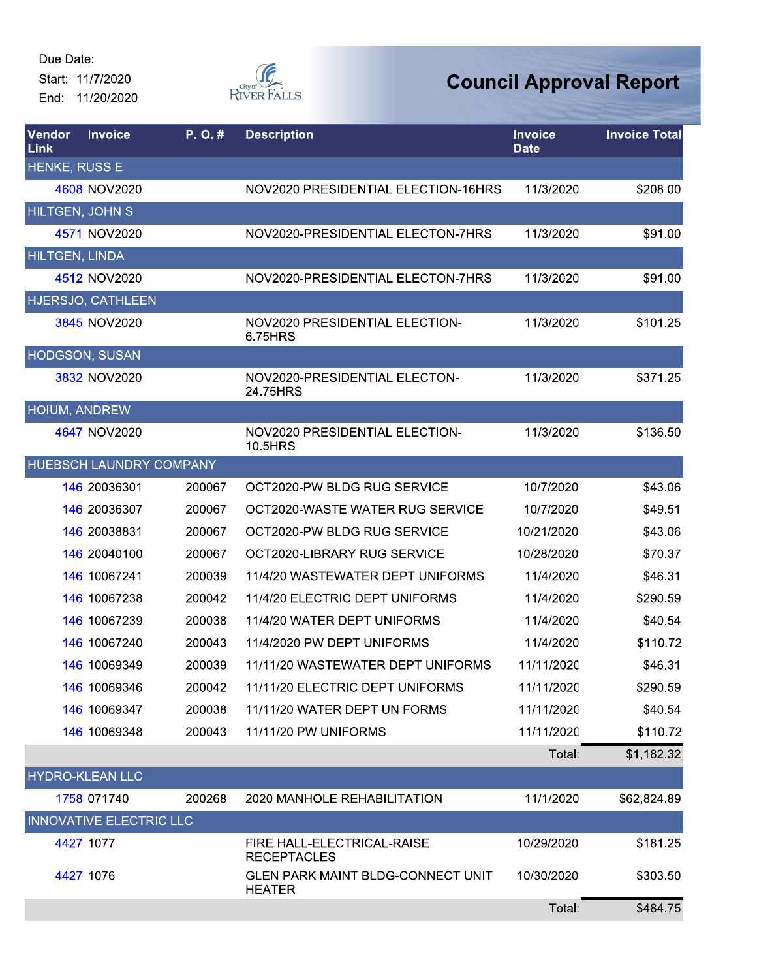

| Vendor<br>Link         | <b>Invoice</b>                 | P.O.#  | <b>Description</b>                                 | <b>Invoice</b><br><b>Date</b> | <b>Invoice Total</b> |
|------------------------|--------------------------------|--------|----------------------------------------------------|-------------------------------|----------------------|
| HENKE, RUSS E          |                                |        |                                                    |                               |                      |
|                        | 4608 NOV2020                   |        | NOV2020 PRESIDENTIAL ELECTION-16HRS                | 11/3/2020                     | \$208.00             |
| <b>HILTGEN, JOHN S</b> |                                |        |                                                    |                               |                      |
|                        | 4571 NOV2020                   |        | NOV2020-PRESIDENTIAL ELECTON-7HRS                  | 11/3/2020                     | \$91.00              |
| HILTGEN, LINDA         |                                |        |                                                    |                               |                      |
|                        | 4512 NOV2020                   |        | NOV2020-PRESIDENTIAL ELECTON-7HRS                  | 11/3/2020                     | \$91.00              |
|                        | HJERSJO, CATHLEEN              |        |                                                    |                               |                      |
|                        | 3845 NOV2020                   |        | NOV2020 PRESIDENTIAL ELECTION-<br>6.75HRS          | 11/3/2020                     | \$101.25             |
|                        | HODGSON, SUSAN                 |        |                                                    |                               |                      |
|                        | 3832 NOV2020                   |        | NOV2020-PRESIDENTIAL ELECTON-<br>24.75HRS          | 11/3/2020                     | \$371.25             |
| HOIUM, ANDREW          |                                |        |                                                    |                               |                      |
|                        | 4647 NOV2020                   |        | NOV2020 PRESIDENTIAL ELECTION-<br>10.5HRS          | 11/3/2020                     | \$136.50             |
|                        | <b>HUEBSCH LAUNDRY COMPANY</b> |        |                                                    |                               |                      |
|                        | 146 20036301                   | 200067 | OCT2020-PW BLDG RUG SERVICE                        | 10/7/2020                     | \$43.06              |
|                        | 146 20036307                   | 200067 | OCT2020-WASTE WATER RUG SERVICE                    | 10/7/2020                     | \$49.51              |
|                        | 146 20038831                   | 200067 | OCT2020-PW BLDG RUG SERVICE                        | 10/21/2020                    | \$43.06              |
|                        | 146 20040100                   | 200067 | OCT2020-LIBRARY RUG SERVICE                        | 10/28/2020                    | \$70.37              |
|                        | 146 10067241                   | 200039 | 11/4/20 WASTEWATER DEPT UNIFORMS                   | 11/4/2020                     | \$46.31              |
|                        | 146 10067238                   | 200042 | 11/4/20 ELECTRIC DEPT UNIFORMS                     | 11/4/2020                     | \$290.59             |
|                        | 146 10067239                   | 200038 | 11/4/20 WATER DEPT UNIFORMS                        | 11/4/2020                     | \$40.54              |
|                        | 146 10067240                   | 200043 | 11/4/2020 PW DEPT UNIFORMS                         | 11/4/2020                     | \$110.72             |
|                        | 146 10069349                   | 200039 | 11/11/20 WASTEWATER DEPT UNIFORMS                  | 11/11/2020                    | \$46.31              |
|                        | 146 10069346                   | 200042 | 11/11/20 ELECTRIC DEPT UNIFORMS                    | 11/11/2020                    | \$290.59             |
|                        | 146 10069347                   | 200038 | 11/11/20 WATER DEPT UNIFORMS                       | 11/11/2020                    | \$40.54              |
|                        | 146 10069348                   | 200043 | 11/11/20 PW UNIFORMS                               | 11/11/2020                    | \$110.72             |
|                        |                                |        |                                                    | Total:                        | \$1,182.32           |
|                        | <b>HYDRO-KLEAN LLC</b>         |        |                                                    |                               |                      |
|                        | 1758 071740                    | 200268 | 2020 MANHOLE REHABILITATION                        | 11/1/2020                     | \$62,824.89          |
|                        | <b>INNOVATIVE ELECTRIC LLC</b> |        |                                                    |                               |                      |
|                        | 4427 1077                      |        | FIRE HALL-ELECTRICAL-RAISE<br><b>RECEPTACLES</b>   | 10/29/2020                    | \$181.25             |
|                        | 4427 1076                      |        | GLEN PARK MAINT BLDG-CONNECT UNIT<br><b>HEATER</b> | 10/30/2020                    | \$303.50             |
|                        |                                |        |                                                    | Total:                        | \$484.75             |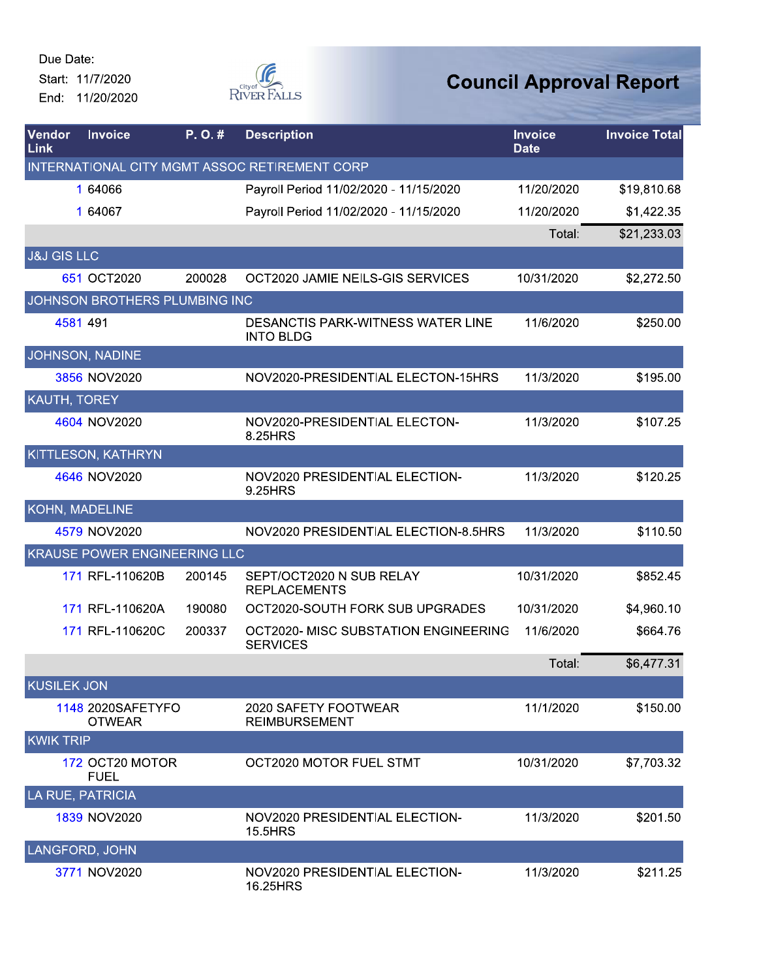

| Vendor<br>Link         | <b>Invoice</b>                      | P.O.#  | <b>Description</b>                                      | <b>Invoice</b><br><b>Date</b> | <b>Invoice Total</b> |
|------------------------|-------------------------------------|--------|---------------------------------------------------------|-------------------------------|----------------------|
|                        |                                     |        | INTERNATIONAL CITY MGMT ASSOC RETIREMENT CORP           |                               |                      |
|                        | 1 64066                             |        | Payroll Period 11/02/2020 - 11/15/2020                  | 11/20/2020                    | \$19,810.68          |
|                        | 1 64067                             |        | Payroll Period 11/02/2020 - 11/15/2020                  | 11/20/2020                    | \$1,422.35           |
|                        |                                     |        |                                                         | Total:                        | \$21,233.03          |
| <b>J&amp;J GIS LLC</b> |                                     |        |                                                         |                               |                      |
|                        | 651 OCT2020                         | 200028 | OCT2020 JAMIE NEILS-GIS SERVICES                        | 10/31/2020                    | \$2,272.50           |
|                        | JOHNSON BROTHERS PLUMBING INC       |        |                                                         |                               |                      |
|                        | 4581 491                            |        | DESANCTIS PARK-WITNESS WATER LINE<br><b>INTO BLDG</b>   | 11/6/2020                     | \$250.00             |
|                        | <b>JOHNSON, NADINE</b>              |        |                                                         |                               |                      |
|                        | 3856 NOV2020                        |        | NOV2020-PRESIDENTIAL ELECTON-15HRS                      | 11/3/2020                     | \$195.00             |
| KAUTH, TOREY           |                                     |        |                                                         |                               |                      |
|                        | 4604 NOV2020                        |        | NOV2020-PRESIDENTIAL ELECTON-<br>8.25HRS                | 11/3/2020                     | \$107.25             |
|                        | KITTLESON, KATHRYN                  |        |                                                         |                               |                      |
|                        | 4646 NOV2020                        |        | NOV2020 PRESIDENTIAL ELECTION-<br>9.25HRS               | 11/3/2020                     | \$120.25             |
|                        | KOHN, MADELINE                      |        |                                                         |                               |                      |
|                        | 4579 NOV2020                        |        | NOV2020 PRESIDENTIAL ELECTION-8.5HRS                    | 11/3/2020                     | \$110.50             |
|                        | <b>KRAUSE POWER ENGINEERING LLC</b> |        |                                                         |                               |                      |
|                        | 171 RFL-110620B                     | 200145 | SEPT/OCT2020 N SUB RELAY<br><b>REPLACEMENTS</b>         | 10/31/2020                    | \$852.45             |
|                        | 171 RFL-110620A                     | 190080 | OCT2020-SOUTH FORK SUB UPGRADES                         | 10/31/2020                    | \$4,960.10           |
|                        | 171 RFL-110620C                     | 200337 | OCT2020- MISC SUBSTATION ENGINEERING<br><b>SERVICES</b> | 11/6/2020                     | \$664.76             |
|                        |                                     |        |                                                         | Total:                        | \$6,477.31           |
| <b>KUSILEK JON</b>     |                                     |        |                                                         |                               |                      |
|                        | 1148 2020SAFETYFO<br><b>OTWEAR</b>  |        | 2020 SAFETY FOOTWEAR<br><b>REIMBURSEMENT</b>            | 11/1/2020                     | \$150.00             |
| <b>KWIK TRIP</b>       |                                     |        |                                                         |                               |                      |
|                        | 172 OCT20 MOTOR<br><b>FUEL</b>      |        | OCT2020 MOTOR FUEL STMT                                 | 10/31/2020                    | \$7,703.32           |
|                        | LA RUE, PATRICIA                    |        |                                                         |                               |                      |
|                        | 1839 NOV2020                        |        | NOV2020 PRESIDENTIAL ELECTION-<br>15.5HRS               | 11/3/2020                     | \$201.50             |
|                        | LANGFORD, JOHN                      |        |                                                         |                               |                      |
|                        | 3771 NOV2020                        |        | NOV2020 PRESIDENTIAL ELECTION-<br>16.25HRS              | 11/3/2020                     | \$211.25             |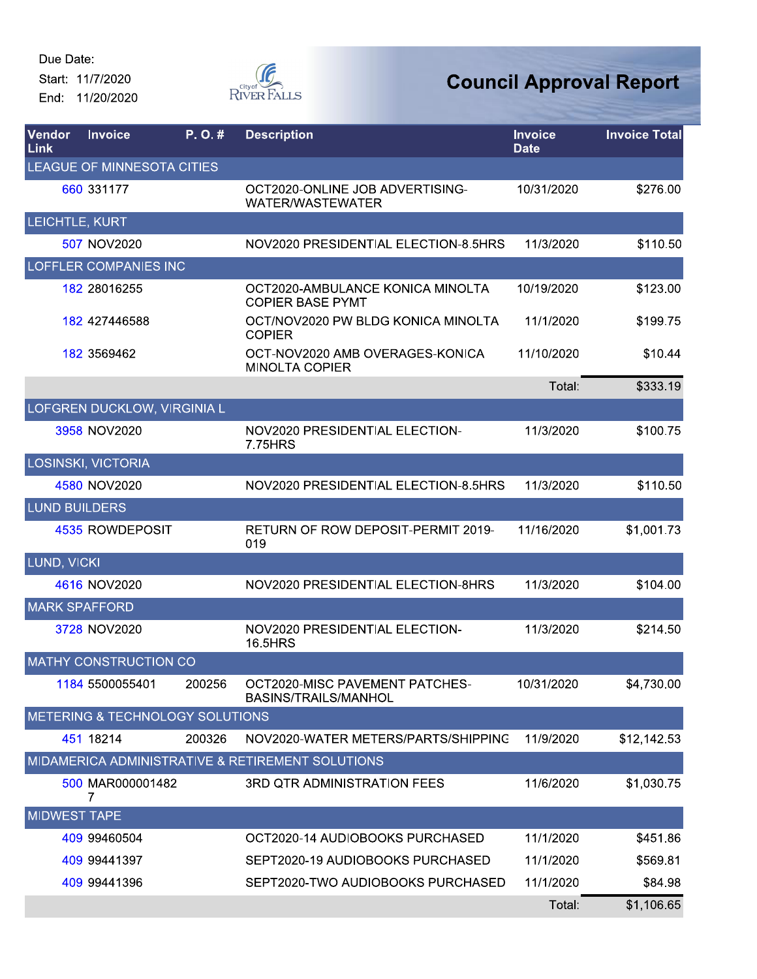End: 11/20/2020



| Vendor<br>Link       | <b>Invoice</b>                  | P.O.#  | <b>Description</b>                                            | <b>Invoice</b><br><b>Date</b> | <b>Invoice Total</b> |
|----------------------|---------------------------------|--------|---------------------------------------------------------------|-------------------------------|----------------------|
|                      | LEAGUE OF MINNESOTA CITIES      |        |                                                               |                               |                      |
|                      | 660 331177                      |        | OCT2020-ONLINE JOB ADVERTISING-<br><b>WATER/WASTEWATER</b>    | 10/31/2020                    | \$276.00             |
| LEICHTLE, KURT       |                                 |        |                                                               |                               |                      |
|                      | 507 NOV2020                     |        | NOV2020 PRESIDENTIAL ELECTION-8.5HRS                          | 11/3/2020                     | \$110.50             |
|                      | <b>LOFFLER COMPANIES INC</b>    |        |                                                               |                               |                      |
|                      | 182 28016255                    |        | OCT2020-AMBULANCE KONICA MINOLTA<br><b>COPIER BASE PYMT</b>   | 10/19/2020                    | \$123.00             |
|                      | 182 427446588                   |        | OCT/NOV2020 PW BLDG KONICA MINOLTA<br><b>COPIER</b>           | 11/1/2020                     | \$199.75             |
|                      | 182 3569462                     |        | OCT-NOV2020 AMB OVERAGES-KONICA<br><b>MINOLTA COPIER</b>      | 11/10/2020                    | \$10.44              |
|                      |                                 |        |                                                               | Total:                        | \$333.19             |
|                      | LOFGREN DUCKLOW, VIRGINIA L     |        |                                                               |                               |                      |
|                      | 3958 NOV2020                    |        | NOV2020 PRESIDENTIAL ELECTION-<br>7.75HRS                     | 11/3/2020                     | \$100.75             |
|                      | LOSINSKI, VICTORIA              |        |                                                               |                               |                      |
|                      | 4580 NOV2020                    |        | NOV2020 PRESIDENTIAL ELECTION-8.5HRS                          | 11/3/2020                     | \$110.50             |
| <b>LUND BUILDERS</b> |                                 |        |                                                               |                               |                      |
|                      | 4535 ROWDEPOSIT                 |        | <b>RETURN OF ROW DEPOSIT-PERMIT 2019-</b><br>019              | 11/16/2020                    | \$1,001.73           |
| <b>LUND, VICKI</b>   |                                 |        |                                                               |                               |                      |
|                      | 4616 NOV2020                    |        | NOV2020 PRESIDENTIAL ELECTION-8HRS                            | 11/3/2020                     | \$104.00             |
| <b>MARK SPAFFORD</b> |                                 |        |                                                               |                               |                      |
|                      | 3728 NOV2020                    |        | NOV2020 PRESIDENTIAL ELECTION-<br>16.5HRS                     | 11/3/2020                     | \$214.50             |
|                      | <b>MATHY CONSTRUCTION CO</b>    |        |                                                               |                               |                      |
|                      | 1184 5500055401                 | 200256 | OCT2020-MISC PAVEMENT PATCHES-<br><b>BASINS/TRAILS/MANHOL</b> | 10/31/2020                    | \$4,730.00           |
|                      | METERING & TECHNOLOGY SOLUTIONS |        |                                                               |                               |                      |
|                      | 451 18214                       | 200326 | NOV2020-WATER METERS/PARTS/SHIPPING                           | 11/9/2020                     | \$12,142.53          |
|                      |                                 |        | MIDAMERICA ADMINISTRATIVE & RETIREMENT SOLUTIONS              |                               |                      |
|                      | 500 MAR000001482<br>7           |        | <b>3RD QTR ADMINISTRATION FEES</b>                            | 11/6/2020                     | \$1,030.75           |
| <b>MIDWEST TAPE</b>  |                                 |        |                                                               |                               |                      |
|                      | 409 99460504                    |        | OCT2020-14 AUDIOBOOKS PURCHASED                               | 11/1/2020                     | \$451.86             |
|                      | 409 99441397                    |        | SEPT2020-19 AUDIOBOOKS PURCHASED                              | 11/1/2020                     | \$569.81             |
|                      | 409 99441396                    |        | SEPT2020-TWO AUDIOBOOKS PURCHASED                             | 11/1/2020                     | \$84.98              |
|                      |                                 |        |                                                               | Total:                        | \$1,106.65           |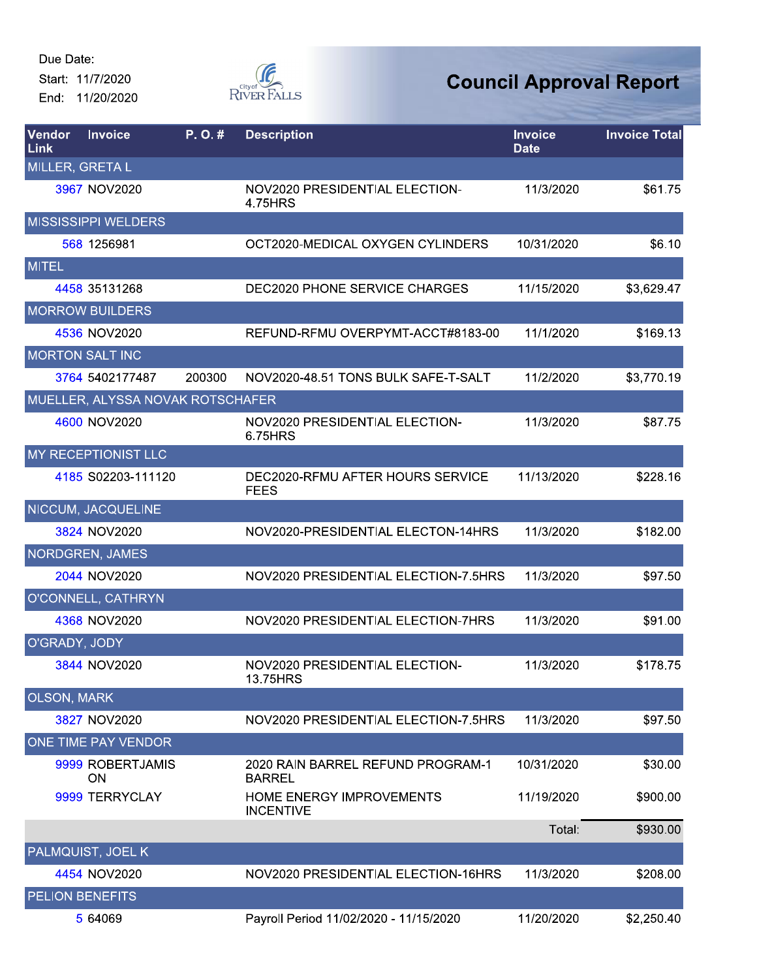

| Vendor<br>Link     | <b>Invoice</b>                   | P.O.#  | <b>Description</b>                                  | <b>Invoice</b><br><b>Date</b> | <b>Invoice Total</b> |
|--------------------|----------------------------------|--------|-----------------------------------------------------|-------------------------------|----------------------|
|                    | <b>MILLER, GRETA L</b>           |        |                                                     |                               |                      |
|                    | 3967 NOV2020                     |        | NOV2020 PRESIDENTIAL ELECTION-<br>4.75HRS           | 11/3/2020                     | \$61.75              |
|                    | <b>MISSISSIPPI WELDERS</b>       |        |                                                     |                               |                      |
|                    | 568 1256981                      |        | OCT2020-MEDICAL OXYGEN CYLINDERS                    | 10/31/2020                    | \$6.10               |
| <b>MITEL</b>       |                                  |        |                                                     |                               |                      |
|                    | 4458 35131268                    |        | <b>DEC2020 PHONE SERVICE CHARGES</b>                | 11/15/2020                    | \$3,629.47           |
|                    | <b>MORROW BUILDERS</b>           |        |                                                     |                               |                      |
|                    | 4536 NOV2020                     |        | REFUND-RFMU OVERPYMT-ACCT#8183-00                   | 11/1/2020                     | \$169.13             |
|                    | <b>MORTON SALT INC</b>           |        |                                                     |                               |                      |
|                    | 3764 5402177487                  | 200300 | NOV2020-48.51 TONS BULK SAFE-T-SALT                 | 11/2/2020                     | \$3,770.19           |
|                    | MUELLER, ALYSSA NOVAK ROTSCHAFER |        |                                                     |                               |                      |
|                    | 4600 NOV2020                     |        | NOV2020 PRESIDENTIAL ELECTION-<br>6.75HRS           | 11/3/2020                     | \$87.75              |
|                    | MY RECEPTIONIST LLC              |        |                                                     |                               |                      |
|                    | 4185 S02203-111120               |        | DEC2020-RFMU AFTER HOURS SERVICE<br><b>FEES</b>     | 11/13/2020                    | \$228.16             |
|                    | <b>NICCUM, JACQUELINE</b>        |        |                                                     |                               |                      |
|                    | 3824 NOV2020                     |        | NOV2020-PRESIDENTIAL ELECTON-14HRS                  | 11/3/2020                     | \$182.00             |
|                    | <b>NORDGREN, JAMES</b>           |        |                                                     |                               |                      |
|                    | 2044 NOV2020                     |        | NOV2020 PRESIDENTIAL ELECTION-7.5HRS                | 11/3/2020                     | \$97.50              |
|                    | O'CONNELL, CATHRYN               |        |                                                     |                               |                      |
|                    | 4368 NOV2020                     |        | NOV2020 PRESIDENTIAL ELECTION-7HRS                  | 11/3/2020                     | \$91.00              |
| O'GRADY, JODY      |                                  |        |                                                     |                               |                      |
|                    | 3844 NOV2020                     |        | NOV2020 PRESIDENTIAL ELECTION-<br>13.75HRS          | 11/3/2020                     | \$178.75             |
| <b>OLSON, MARK</b> |                                  |        |                                                     |                               |                      |
|                    | 3827 NOV2020                     |        | NOV2020 PRESIDENTIAL ELECTION-7.5HRS                | 11/3/2020                     | \$97.50              |
|                    | ONE TIME PAY VENDOR              |        |                                                     |                               |                      |
|                    | 9999 ROBERTJAMIS<br><b>ON</b>    |        | 2020 RAIN BARREL REFUND PROGRAM-1<br><b>BARREL</b>  | 10/31/2020                    | \$30.00              |
|                    | 9999 TERRYCLAY                   |        | <b>HOME ENERGY IMPROVEMENTS</b><br><b>INCENTIVE</b> | 11/19/2020                    | \$900.00             |
|                    |                                  |        |                                                     | Total:                        | \$930.00             |
|                    | PALMQUIST, JOEL K                |        |                                                     |                               |                      |
|                    | 4454 NOV2020                     |        | NOV2020 PRESIDENTIAL ELECTION-16HRS                 | 11/3/2020                     | \$208.00             |
|                    | <b>PELION BENEFITS</b>           |        |                                                     |                               |                      |
|                    | 5 64069                          |        | Payroll Period 11/02/2020 - 11/15/2020              | 11/20/2020                    | \$2,250.40           |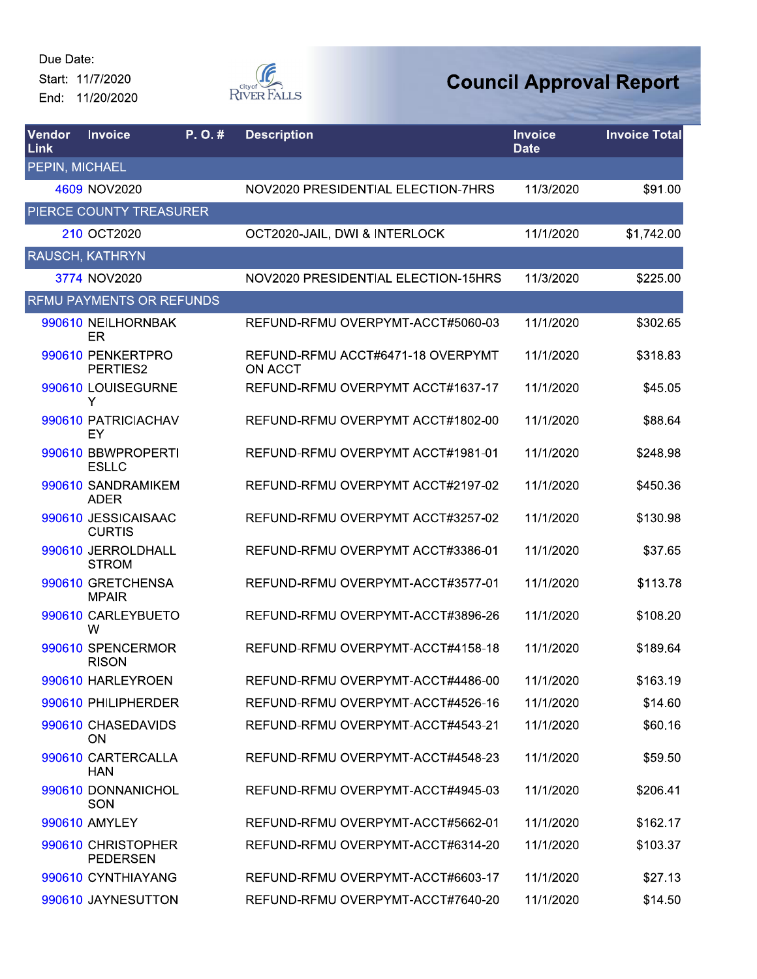End: 11/20/2020



| Vendor<br>Link | <b>Invoice</b>                        | P.O.# | <b>Description</b>                           | <b>Invoice</b><br><b>Date</b> | <b>Invoice Total</b> |
|----------------|---------------------------------------|-------|----------------------------------------------|-------------------------------|----------------------|
| PEPIN, MICHAEL |                                       |       |                                              |                               |                      |
|                | 4609 NOV2020                          |       | NOV2020 PRESIDENTIAL ELECTION-7HRS           | 11/3/2020                     | \$91.00              |
|                | PIERCE COUNTY TREASURER               |       |                                              |                               |                      |
|                | 210 OCT2020                           |       | OCT2020-JAIL, DWI & INTERLOCK                | 11/1/2020                     | \$1,742.00           |
|                | <b>RAUSCH, KATHRYN</b>                |       |                                              |                               |                      |
|                | 3774 NOV2020                          |       | NOV2020 PRESIDENTIAL ELECTION-15HRS          | 11/3/2020                     | \$225.00             |
|                | <b>RFMU PAYMENTS OR REFUNDS</b>       |       |                                              |                               |                      |
|                | 990610 NEILHORNBAK<br>ER              |       | REFUND-RFMU OVERPYMT-ACCT#5060-03            | 11/1/2020                     | \$302.65             |
|                | 990610 PENKERTPRO<br>PERTIES2         |       | REFUND-RFMU ACCT#6471-18 OVERPYMT<br>ON ACCT | 11/1/2020                     | \$318.83             |
|                | 990610 LOUISEGURNE<br>Y               |       | REFUND-RFMU OVERPYMT ACCT#1637-17            | 11/1/2020                     | \$45.05              |
|                | 990610 PATRICIACHAV<br>EY             |       | REFUND-RFMU OVERPYMT ACCT#1802-00            | 11/1/2020                     | \$88.64              |
|                | 990610 BBWPROPERTI<br><b>ESLLC</b>    |       | REFUND-RFMU OVERPYMT ACCT#1981-01            | 11/1/2020                     | \$248.98             |
|                | 990610 SANDRAMIKEM<br><b>ADER</b>     |       | REFUND-RFMU OVERPYMT ACCT#2197-02            | 11/1/2020                     | \$450.36             |
|                | 990610 JESSICAISAAC<br><b>CURTIS</b>  |       | REFUND-RFMU OVERPYMT ACCT#3257-02            | 11/1/2020                     | \$130.98             |
|                | 990610 JERROLDHALL<br><b>STROM</b>    |       | REFUND-RFMU OVERPYMT ACCT#3386-01            | 11/1/2020                     | \$37.65              |
|                | 990610 GRETCHENSA<br><b>MPAIR</b>     |       | REFUND-RFMU OVERPYMT-ACCT#3577-01            | 11/1/2020                     | \$113.78             |
|                | 990610 CARLEYBUETO<br>W               |       | REFUND-RFMU OVERPYMT-ACCT#3896-26            | 11/1/2020                     | \$108.20             |
|                | 990610 SPENCERMOR<br><b>RISON</b>     |       | REFUND-RFMU OVERPYMT-ACCT#4158-18            | 11/1/2020                     | \$189.64             |
|                | 990610 HARLEYROEN                     |       | REFUND-RFMU OVERPYMT-ACCT#4486-00            | 11/1/2020                     | \$163.19             |
|                | 990610 PHILIPHERDER                   |       | REFUND-RFMU OVERPYMT-ACCT#4526-16            | 11/1/2020                     | \$14.60              |
|                | 990610 CHASEDAVIDS<br>ON.             |       | REFUND-RFMU OVERPYMT-ACCT#4543-21            | 11/1/2020                     | \$60.16              |
|                | 990610 CARTERCALLA<br><b>HAN</b>      |       | REFUND-RFMU OVERPYMT-ACCT#4548-23            | 11/1/2020                     | \$59.50              |
|                | 990610 DONNANICHOL<br>SON             |       | REFUND-RFMU OVERPYMT-ACCT#4945-03            | 11/1/2020                     | \$206.41             |
|                | 990610 AMYLEY                         |       | REFUND-RFMU OVERPYMT-ACCT#5662-01            | 11/1/2020                     | \$162.17             |
|                | 990610 CHRISTOPHER<br><b>PEDERSEN</b> |       | REFUND-RFMU OVERPYMT-ACCT#6314-20            | 11/1/2020                     | \$103.37             |
|                | 990610 CYNTHIAYANG                    |       | REFUND-RFMU OVERPYMT-ACCT#6603-17            | 11/1/2020                     | \$27.13              |
|                | 990610 JAYNESUTTON                    |       | REFUND-RFMU OVERPYMT-ACCT#7640-20            | 11/1/2020                     | \$14.50              |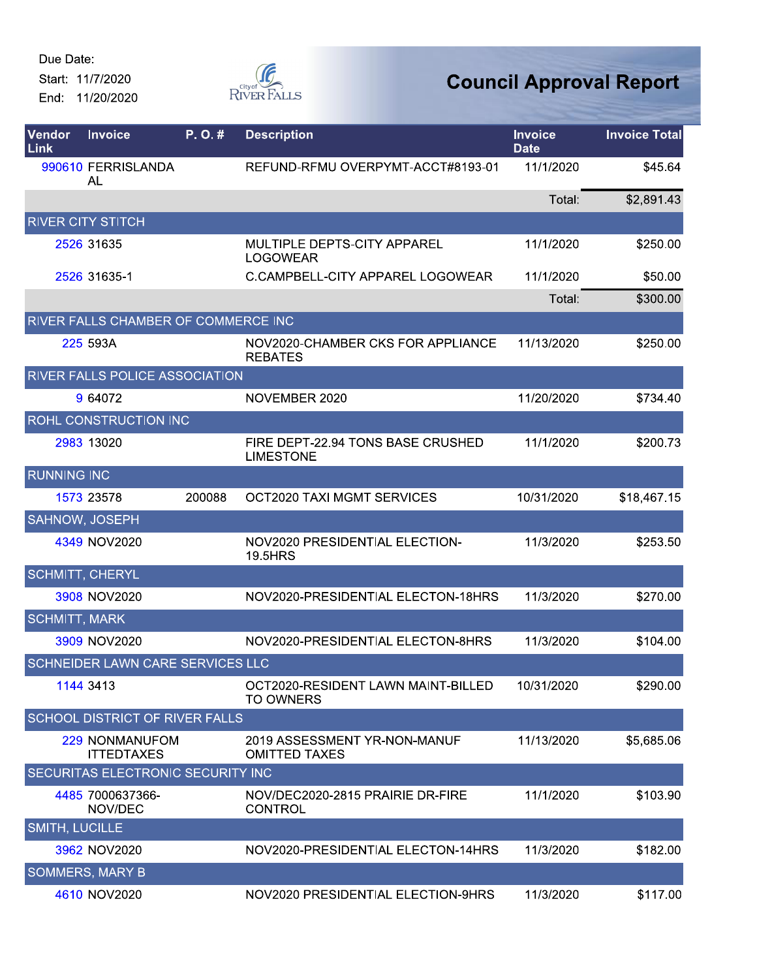Due Date:

Start: 11/7/2020 End: 11/20/2020



| Vendor<br>Link         | <b>Invoice</b>                        | P.O.#  | <b>Description</b>                                     | <b>Invoice</b><br><b>Date</b> | <b>Invoice Total</b> |
|------------------------|---------------------------------------|--------|--------------------------------------------------------|-------------------------------|----------------------|
|                        | 990610 FERRISLANDA<br>AL              |        | REFUND-RFMU OVERPYMT-ACCT#8193-01                      | 11/1/2020                     | \$45.64              |
|                        |                                       |        |                                                        | Total:                        | \$2,891.43           |
|                        | <b>RIVER CITY STITCH</b>              |        |                                                        |                               |                      |
|                        | 2526 31635                            |        | MULTIPLE DEPTS-CITY APPAREL<br><b>LOGOWEAR</b>         | 11/1/2020                     | \$250.00             |
|                        | 2526 31635-1                          |        | C.CAMPBELL-CITY APPAREL LOGOWEAR                       | 11/1/2020                     | \$50.00              |
|                        |                                       |        |                                                        | Total:                        | \$300.00             |
|                        | RIVER FALLS CHAMBER OF COMMERCE INC   |        |                                                        |                               |                      |
|                        | 225 593A                              |        | NOV2020-CHAMBER CKS FOR APPLIANCE<br><b>REBATES</b>    | 11/13/2020                    | \$250.00             |
|                        | <b>RIVER FALLS POLICE ASSOCIATION</b> |        |                                                        |                               |                      |
|                        | 9 64072                               |        | NOVEMBER 2020                                          | 11/20/2020                    | \$734.40             |
|                        | ROHL CONSTRUCTION INC                 |        |                                                        |                               |                      |
|                        | 2983 13020                            |        | FIRE DEPT-22.94 TONS BASE CRUSHED<br><b>LIMESTONE</b>  | 11/1/2020                     | \$200.73             |
| <b>RUNNING INC</b>     |                                       |        |                                                        |                               |                      |
|                        | 1573 23578                            | 200088 | OCT2020 TAXI MGMT SERVICES                             | 10/31/2020                    | \$18,467.15          |
| SAHNOW, JOSEPH         |                                       |        |                                                        |                               |                      |
|                        | 4349 NOV2020                          |        | NOV2020 PRESIDENTIAL ELECTION-<br><b>19.5HRS</b>       | 11/3/2020                     | \$253.50             |
| <b>SCHMITT, CHERYL</b> |                                       |        |                                                        |                               |                      |
|                        | 3908 NOV2020                          |        | NOV2020-PRESIDENTIAL ELECTON-18HRS                     | 11/3/2020                     | \$270.00             |
| <b>SCHMITT, MARK</b>   |                                       |        |                                                        |                               |                      |
|                        | 3909 NOV2020                          |        | NOV2020-PRESIDENTIAL ELECTON-8HRS                      | 11/3/2020                     | \$104.00             |
|                        | SCHNEIDER LAWN CARE SERVICES LLC      |        |                                                        |                               |                      |
|                        | 1144 3413                             |        | OCT2020-RESIDENT LAWN MAINT-BILLED<br><b>TO OWNERS</b> | 10/31/2020                    | \$290.00             |
|                        | SCHOOL DISTRICT OF RIVER FALLS        |        |                                                        |                               |                      |
|                        | 229 NONMANUFOM<br><b>ITTEDTAXES</b>   |        | 2019 ASSESSMENT YR-NON-MANUF<br><b>OMITTED TAXES</b>   | 11/13/2020                    | \$5,685.06           |
|                        | SECURITAS ELECTRONIC SECURITY INC     |        |                                                        |                               |                      |
|                        | 4485 7000637366-<br>NOV/DEC           |        | NOV/DEC2020-2815 PRAIRIE DR-FIRE<br><b>CONTROL</b>     | 11/1/2020                     | \$103.90             |
| <b>SMITH, LUCILLE</b>  |                                       |        |                                                        |                               |                      |
|                        | 3962 NOV2020                          |        | NOV2020-PRESIDENTIAL ELECTON-14HRS                     | 11/3/2020                     | \$182.00             |
|                        | <b>SOMMERS, MARY B</b>                |        |                                                        |                               |                      |
|                        | 4610 NOV2020                          |        | NOV2020 PRESIDENTIAL ELECTION-9HRS                     | 11/3/2020                     | \$117.00             |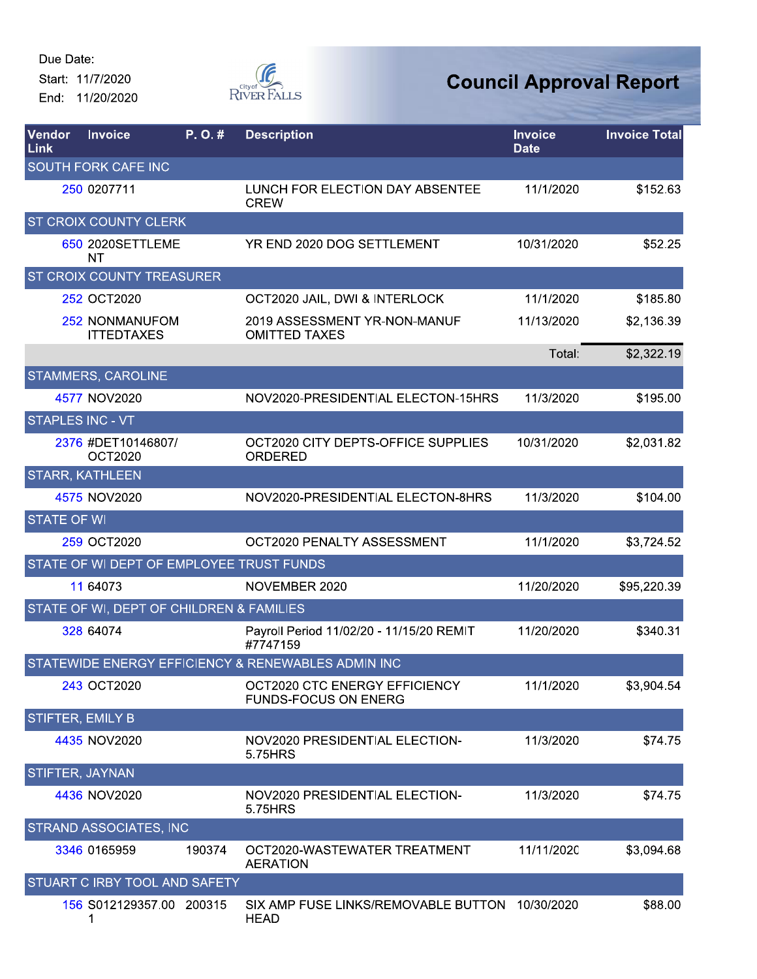End: 11/20/2020



| Vendor<br>Link     | <b>Invoice</b>                           | P.O.#  | <b>Description</b>                                           | <b>Invoice</b><br><b>Date</b> | <b>Invoice Total</b> |
|--------------------|------------------------------------------|--------|--------------------------------------------------------------|-------------------------------|----------------------|
|                    | SOUTH FORK CAFE INC                      |        |                                                              |                               |                      |
|                    | 250 0207711                              |        | LUNCH FOR ELECTION DAY ABSENTEE<br><b>CREW</b>               | 11/1/2020                     | \$152.63             |
|                    | ST CROIX COUNTY CLERK                    |        |                                                              |                               |                      |
|                    | 650 2020SETTLEME<br>NT                   |        | YR END 2020 DOG SETTLEMENT                                   | 10/31/2020                    | \$52.25              |
|                    | ST CROIX COUNTY TREASURER                |        |                                                              |                               |                      |
|                    | 252 OCT2020                              |        | OCT2020 JAIL, DWI & INTERLOCK                                | 11/1/2020                     | \$185.80             |
|                    | 252 NONMANUFOM<br><b>ITTEDTAXES</b>      |        | 2019 ASSESSMENT YR-NON-MANUF<br><b>OMITTED TAXES</b>         | 11/13/2020                    | \$2,136.39           |
|                    |                                          |        |                                                              | Total:                        | \$2,322.19           |
|                    | <b>STAMMERS, CAROLINE</b>                |        |                                                              |                               |                      |
|                    | 4577 NOV2020                             |        | NOV2020-PRESIDENTIAL ELECTON-15HRS                           | 11/3/2020                     | \$195.00             |
|                    | <b>STAPLES INC - VT</b>                  |        |                                                              |                               |                      |
|                    | 2376 #DET10146807/<br><b>OCT2020</b>     |        | OCT2020 CITY DEPTS-OFFICE SUPPLIES<br>ORDERED                | 10/31/2020                    | \$2,031.82           |
|                    | <b>STARR, KATHLEEN</b>                   |        |                                                              |                               |                      |
|                    | 4575 NOV2020                             |        | NOV2020-PRESIDENTIAL ELECTON-8HRS                            | 11/3/2020                     | \$104.00             |
| <b>STATE OF WI</b> |                                          |        |                                                              |                               |                      |
|                    | 259 OCT2020                              |        | OCT2020 PENALTY ASSESSMENT                                   | 11/1/2020                     | \$3,724.52           |
|                    | STATE OF WI DEPT OF EMPLOYEE TRUST FUNDS |        |                                                              |                               |                      |
|                    | 11 64073                                 |        | NOVEMBER 2020                                                | 11/20/2020                    | \$95,220.39          |
|                    | STATE OF WI, DEPT OF CHILDREN & FAMILIES |        |                                                              |                               |                      |
|                    | 328 64074                                |        | Payroll Period 11/02/20 - 11/15/20 REMIT<br>#7747159         | 11/20/2020                    | \$340.31             |
|                    |                                          |        | STATEWIDE ENERGY EFFICIENCY & RENEWABLES ADMIN INC           |                               |                      |
|                    | 243 OCT2020                              |        | OCT2020 CTC ENERGY EFFICIENCY<br><b>FUNDS-FOCUS ON ENERG</b> | 11/1/2020                     | \$3,904.54           |
|                    | STIFTER, EMILY B                         |        |                                                              |                               |                      |
|                    | 4435 NOV2020                             |        | NOV2020 PRESIDENTIAL ELECTION-<br>5.75HRS                    | 11/3/2020                     | \$74.75              |
|                    | STIFTER, JAYNAN                          |        |                                                              |                               |                      |
|                    | 4436 NOV2020                             |        | NOV2020 PRESIDENTIAL ELECTION-<br>5.75HRS                    | 11/3/2020                     | \$74.75              |
|                    | STRAND ASSOCIATES, INC                   |        |                                                              |                               |                      |
|                    | 3346 0165959                             | 190374 | OCT2020-WASTEWATER TREATMENT<br><b>AERATION</b>              | 11/11/2020                    | \$3,094.68           |
|                    | STUART C IRBY TOOL AND SAFETY            |        |                                                              |                               |                      |
|                    | 156 S012129357.00 200315<br>1            |        | SIX AMP FUSE LINKS/REMOVABLE BUTTON<br><b>HEAD</b>           | 10/30/2020                    | \$88.00              |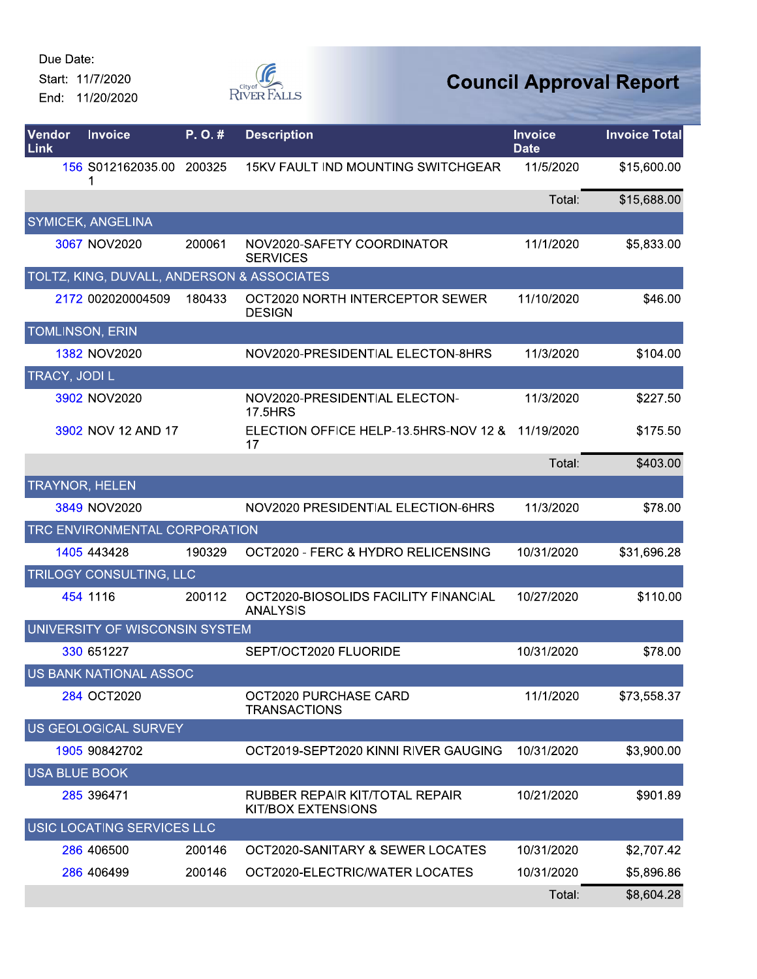Due Date:

Start: 11/7/2020 End: 11/20/2020



| Vendor<br>Link       | <b>Invoice</b>                             | P.O.#  | <b>Description</b>                                          | <b>Invoice</b><br><b>Date</b> | <b>Invoice Total</b> |
|----------------------|--------------------------------------------|--------|-------------------------------------------------------------|-------------------------------|----------------------|
|                      | 156 S012162035.00<br>1                     | 200325 | <b>15KV FAULT IND MOUNTING SWITCHGEAR</b>                   | 11/5/2020                     | \$15,600.00          |
|                      |                                            |        |                                                             | Total:                        | \$15,688.00          |
|                      | SYMICEK, ANGELINA                          |        |                                                             |                               |                      |
|                      | 3067 NOV2020                               | 200061 | NOV2020-SAFETY COORDINATOR<br><b>SERVICES</b>               | 11/1/2020                     | \$5,833.00           |
|                      | TOLTZ, KING, DUVALL, ANDERSON & ASSOCIATES |        |                                                             |                               |                      |
|                      | 2172 002020004509                          | 180433 | OCT2020 NORTH INTERCEPTOR SEWER<br><b>DESIGN</b>            | 11/10/2020                    | \$46.00              |
|                      | <b>TOMLINSON, ERIN</b>                     |        |                                                             |                               |                      |
|                      | 1382 NOV2020                               |        | NOV2020-PRESIDENTIAL ELECTON-8HRS                           | 11/3/2020                     | \$104.00             |
| TRACY, JODI L        |                                            |        |                                                             |                               |                      |
|                      | 3902 NOV2020                               |        | NOV2020-PRESIDENTIAL ELECTON-<br>17.5HRS                    | 11/3/2020                     | \$227.50             |
|                      | 3902 NOV 12 AND 17                         |        | ELECTION OFFICE HELP-13.5HRS-NOV 12 &<br>17                 | 11/19/2020                    | \$175.50             |
|                      |                                            |        |                                                             | Total:                        | \$403.00             |
|                      | <b>TRAYNOR, HELEN</b>                      |        |                                                             |                               |                      |
|                      | 3849 NOV2020                               |        | NOV2020 PRESIDENTIAL ELECTION-6HRS                          | 11/3/2020                     | \$78.00              |
|                      | TRC ENVIRONMENTAL CORPORATION              |        |                                                             |                               |                      |
|                      | 1405 443428                                | 190329 | OCT2020 - FERC & HYDRO RELICENSING                          | 10/31/2020                    | \$31,696.28          |
|                      | TRILOGY CONSULTING, LLC                    |        |                                                             |                               |                      |
|                      | 454 1116                                   | 200112 | OCT2020-BIOSOLIDS FACILITY FINANCIAL<br><b>ANALYSIS</b>     | 10/27/2020                    | \$110.00             |
|                      | UNIVERSITY OF WISCONSIN SYSTEM             |        |                                                             |                               |                      |
|                      | 330 651227                                 |        | SEPT/OCT2020 FLUORIDE                                       | 10/31/2020                    | \$78.00              |
|                      | US BANK NATIONAL ASSOC                     |        |                                                             |                               |                      |
|                      | 284 OCT2020                                |        | OCT2020 PURCHASE CARD<br><b>TRANSACTIONS</b>                | 11/1/2020                     | \$73,558.37          |
|                      | US GEOLOGICAL SURVEY                       |        |                                                             |                               |                      |
|                      | 1905 90842702                              |        | OCT2019-SEPT2020 KINNI RIVER GAUGING                        | 10/31/2020                    | \$3,900.00           |
| <b>USA BLUE BOOK</b> |                                            |        |                                                             |                               |                      |
|                      | 285 396471                                 |        | RUBBER REPAIR KIT/TOTAL REPAIR<br><b>KIT/BOX EXTENSIONS</b> | 10/21/2020                    | \$901.89             |
|                      | USIC LOCATING SERVICES LLC                 |        |                                                             |                               |                      |
|                      | 286 406500                                 | 200146 | OCT2020-SANITARY & SEWER LOCATES                            | 10/31/2020                    | \$2,707.42           |
|                      | 286 406499                                 | 200146 | OCT2020-ELECTRIC/WATER LOCATES                              | 10/31/2020                    | \$5,896.86           |
|                      |                                            |        |                                                             | Total:                        | \$8,604.28           |